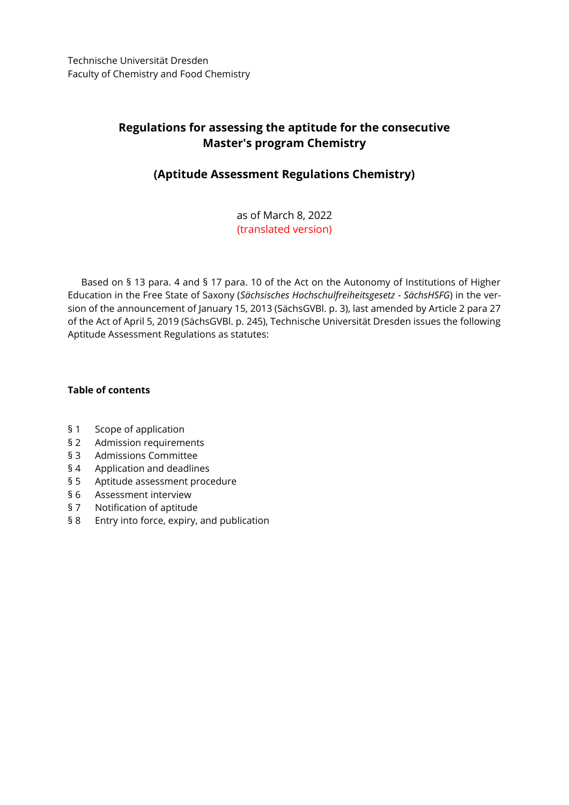# **Regulations for assessing the aptitude for the consecutive Master's program Chemistry**

## **(Aptitude Assessment Regulations Chemistry)**

as of March 8, 2022 (translated version)

Based on § 13 para. 4 and § 17 para. 10 of the Act on the Autonomy of Institutions of Higher Education in the Free State of Saxony (*Sächsisches Hochschulfreiheitsgesetz - SächsHSFG*) in the version of the announcement of January 15, 2013 (SächsGVBl. p. 3), last amended by Article 2 para 27 of the Act of April 5, 2019 (SächsGVBl. p. 245), Technische Universität Dresden issues the following Aptitude Assessment Regulations as statutes:

## **Table of contents**

- § 1 Scope of application
- § 2 Admission requirements
- § 3 Admissions Committee
- § 4 Application and deadlines
- § 5 Aptitude assessment procedure
- § 6 Assessment interview
- § 7 Notification of aptitude
- § 8 Entry into force, expiry, and publication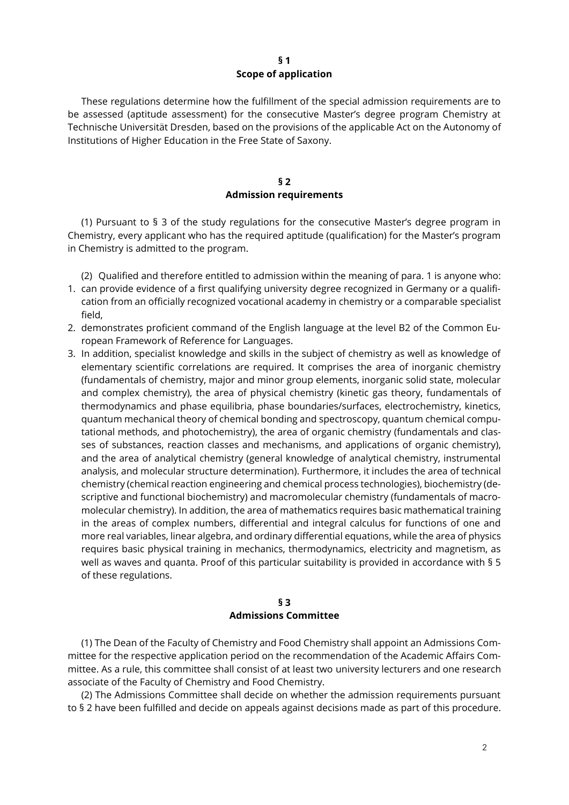#### **§ 1 Scope of application**

These regulations determine how the fulfillment of the special admission requirements are to be assessed (aptitude assessment) for the consecutive Master's degree program Chemistry at Technische Universität Dresden, based on the provisions of the applicable Act on the Autonomy of Institutions of Higher Education in the Free State of Saxony.

#### **§ 2 Admission requirements**

(1) Pursuant to § 3 of the study regulations for the consecutive Master's degree program in Chemistry, every applicant who has the required aptitude (qualification) for the Master's program in Chemistry is admitted to the program.

(2) Qualified and therefore entitled to admission within the meaning of para. 1 is anyone who:

- 1. can provide evidence of a first qualifying university degree recognized in Germany or a qualification from an officially recognized vocational academy in chemistry or a comparable specialist field,
- 2. demonstrates proficient command of the English language at the level B2 of the Common European Framework of Reference for Languages.
- 3. In addition, specialist knowledge and skills in the subject of chemistry as well as knowledge of elementary scientific correlations are required. It comprises the area of inorganic chemistry (fundamentals of chemistry, major and minor group elements, inorganic solid state, molecular and complex chemistry), the area of physical chemistry (kinetic gas theory, fundamentals of thermodynamics and phase equilibria, phase boundaries/surfaces, electrochemistry, kinetics, quantum mechanical theory of chemical bonding and spectroscopy, quantum chemical computational methods, and photochemistry), the area of organic chemistry (fundamentals and classes of substances, reaction classes and mechanisms, and applications of organic chemistry), and the area of analytical chemistry (general knowledge of analytical chemistry, instrumental analysis, and molecular structure determination). Furthermore, it includes the area of technical chemistry (chemical reaction engineering and chemical process technologies), biochemistry (descriptive and functional biochemistry) and macromolecular chemistry (fundamentals of macromolecular chemistry). In addition, the area of mathematics requires basic mathematical training in the areas of complex numbers, differential and integral calculus for functions of one and more real variables, linear algebra, and ordinary differential equations, while the area of physics requires basic physical training in mechanics, thermodynamics, electricity and magnetism, as well as waves and quanta. Proof of this particular suitability is provided in accordance with § 5 of these regulations.

## **§ 3 Admissions Committee**

(1) The Dean of the Faculty of Chemistry and Food Chemistry shall appoint an Admissions Committee for the respective application period on the recommendation of the Academic Affairs Committee. As a rule, this committee shall consist of at least two university lecturers and one research associate of the Faculty of Chemistry and Food Chemistry.

(2) The Admissions Committee shall decide on whether the admission requirements pursuant to § 2 have been fulfilled and decide on appeals against decisions made as part of this procedure.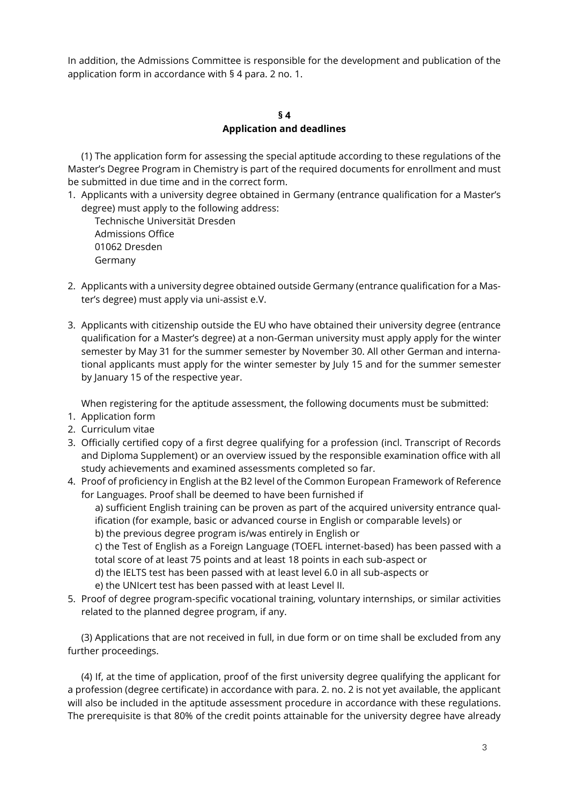In addition, the Admissions Committee is responsible for the development and publication of the application form in accordance with § 4 para. 2 no. 1.

#### **§ 4 Application and deadlines**

(1) The application form for assessing the special aptitude according to these regulations of the Master's Degree Program in Chemistry is part of the required documents for enrollment and must be submitted in due time and in the correct form.

1. Applicants with a university degree obtained in Germany (entrance qualification for a Master's degree) must apply to the following address:

Technische Universität Dresden Admissions Office 01062 Dresden Germany

- 2. Applicants with a university degree obtained outside Germany (entrance qualification for a Master's degree) must apply via uni-assist e.V.
- 3. Applicants with citizenship outside the EU who have obtained their university degree (entrance qualification for a Master's degree) at a non-German university must apply apply for the winter semester by May 31 for the summer semester by November 30. All other German and international applicants must apply for the winter semester by July 15 and for the summer semester by January 15 of the respective year.

When registering for the aptitude assessment, the following documents must be submitted:

- 1. Application form
- 2. Curriculum vitae
- 3. Officially certified copy of a first degree qualifying for a profession (incl. Transcript of Records and Diploma Supplement) or an overview issued by the responsible examination office with all study achievements and examined assessments completed so far.
- 4. Proof of proficiency in English at the B2 level of the Common European Framework of Reference for Languages. Proof shall be deemed to have been furnished if

a) sufficient English training can be proven as part of the acquired university entrance qualification (for example, basic or advanced course in English or comparable levels) or b) the previous degree program is/was entirely in English or

c) the Test of English as a Foreign Language (TOEFL internet-based) has been passed with a total score of at least 75 points and at least 18 points in each sub-aspect or

- d) the IELTS test has been passed with at least level 6.0 in all sub-aspects or
- e) the UNIcert test has been passed with at least Level II.
- 5. Proof of degree program-specific vocational training, voluntary internships, or similar activities related to the planned degree program, if any.

(3) Applications that are not received in full, in due form or on time shall be excluded from any further proceedings.

(4) If, at the time of application, proof of the first university degree qualifying the applicant for a profession (degree certificate) in accordance with para. 2. no. 2 is not yet available, the applicant will also be included in the aptitude assessment procedure in accordance with these regulations. The prerequisite is that 80% of the credit points attainable for the university degree have already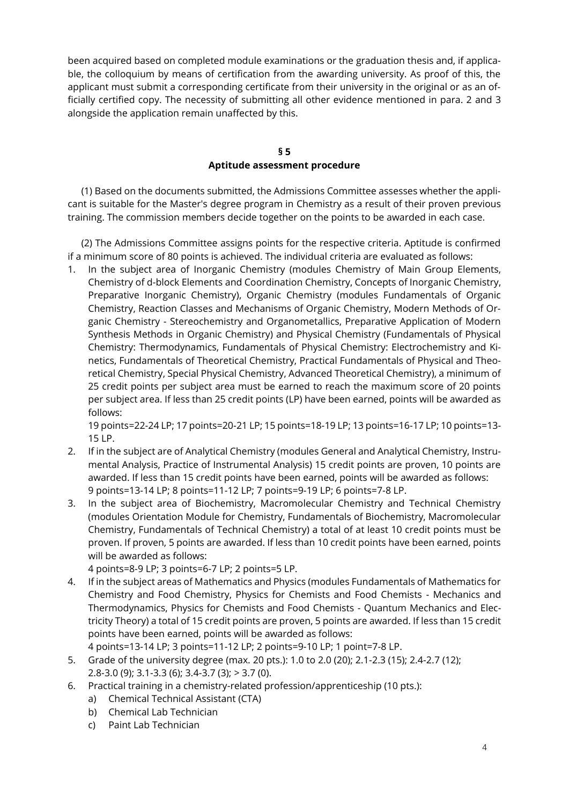been acquired based on completed module examinations or the graduation thesis and, if applicable, the colloquium by means of certification from the awarding university. As proof of this, the applicant must submit a corresponding certificate from their university in the original or as an officially certified copy. The necessity of submitting all other evidence mentioned in para. 2 and 3 alongside the application remain unaffected by this.

## **§ 5 Aptitude assessment procedure**

(1) Based on the documents submitted, the Admissions Committee assesses whether the applicant is suitable for the Master's degree program in Chemistry as a result of their proven previous training. The commission members decide together on the points to be awarded in each case.

(2) The Admissions Committee assigns points for the respective criteria. Aptitude is confirmed if a minimum score of 80 points is achieved. The individual criteria are evaluated as follows:

1. In the subject area of Inorganic Chemistry (modules Chemistry of Main Group Elements, Chemistry of d-block Elements and Coordination Chemistry, Concepts of Inorganic Chemistry, Preparative Inorganic Chemistry), Organic Chemistry (modules Fundamentals of Organic Chemistry, Reaction Classes and Mechanisms of Organic Chemistry, Modern Methods of Organic Chemistry - Stereochemistry and Organometallics, Preparative Application of Modern Synthesis Methods in Organic Chemistry) and Physical Chemistry (Fundamentals of Physical Chemistry: Thermodynamics, Fundamentals of Physical Chemistry: Electrochemistry and Kinetics, Fundamentals of Theoretical Chemistry, Practical Fundamentals of Physical and Theoretical Chemistry, Special Physical Chemistry, Advanced Theoretical Chemistry), a minimum of 25 credit points per subject area must be earned to reach the maximum score of 20 points per subject area. If less than 25 credit points (LP) have been earned, points will be awarded as follows:

19 points=22-24 LP; 17 points=20-21 LP; 15 points=18-19 LP; 13 points=16-17 LP; 10 points=13- 15 LP.

- 2. If in the subject are of Analytical Chemistry (modules General and Analytical Chemistry, Instrumental Analysis, Practice of Instrumental Analysis) 15 credit points are proven, 10 points are awarded. If less than 15 credit points have been earned, points will be awarded as follows: 9 points=13-14 LP; 8 points=11-12 LP; 7 points=9-19 LP; 6 points=7-8 LP.
- 3. In the subject area of Biochemistry, Macromolecular Chemistry and Technical Chemistry (modules Orientation Module for Chemistry, Fundamentals of Biochemistry, Macromolecular Chemistry, Fundamentals of Technical Chemistry) a total of at least 10 credit points must be proven. If proven, 5 points are awarded. If less than 10 credit points have been earned, points will be awarded as follows:

4 points=8-9 LP; 3 points=6-7 LP; 2 points=5 LP.

- 4. If in the subject areas of Mathematics and Physics (modules Fundamentals of Mathematics for Chemistry and Food Chemistry, Physics for Chemists and Food Chemists - Mechanics and Thermodynamics, Physics for Chemists and Food Chemists - Quantum Mechanics and Electricity Theory) a total of 15 credit points are proven, 5 points are awarded. If less than 15 credit points have been earned, points will be awarded as follows: 4 points=13-14 LP; 3 points=11-12 LP; 2 points=9-10 LP; 1 point=7-8 LP.
- 5. Grade of the university degree (max. 20 pts.): 1.0 to 2.0 (20); 2.1-2.3 (15); 2.4-2.7 (12); 2.8-3.0 (9); 3.1-3.3 (6); 3.4-3.7 (3); > 3.7 (0).
- 6. Practical training in a chemistry-related profession/apprenticeship (10 pts.):
	- a) Chemical Technical Assistant (CTA)
	- b) Chemical Lab Technician
	- c) Paint Lab Technician